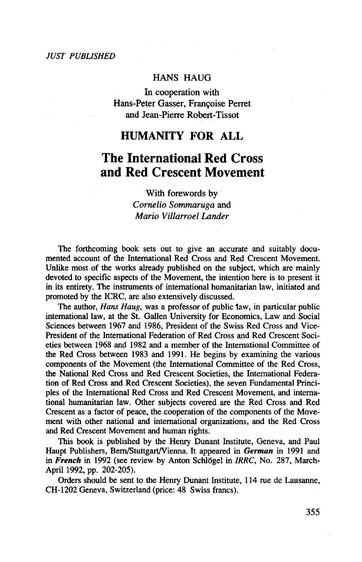*JUST PUBLISHED*

### HANS HAUG

In cooperation with Hans-Peter Gasser, Francoise Perret and Jean-Pierre Robert-Tissot

### **HUMANITY FOR ALL**

## **The International Red Cross and Red Crescent Movement**

With forewords by *Cornelio Sommaruga* and *Mario Villarroel Lander*

The forthcoming book sets out to give an accurate and suitably documented account of the International Red Cross and Red Crescent Movement. Unlike most of the works already published on the subject, which are mainly devoted to specific aspects of the Movement, the intention here is to present it in its entirety. The instruments of international humanitarian law, initiated and promoted by the ICRC, are also extensively discussed.

The author, *Hans Haug,* was a professor of public law, in particular public international law, at the St. Gallen University for Economics, Law and Social Sciences between 1967 and 1986, President of the Swiss Red Cross and Vice-President of the International Federation of Red Cross and Red Crescent Societies between 1968 and 1982 and a member of the International Committee of the Red Cross between 1983 and 1991. He begins by examining the various components of the Movement (the International Committee of the Red Cross, the National Red Cross and Red Crescent Societies, the International Federation of Red Cross and Red Crescent Societies), the seven Fundamental Principles of the International Red Cross and Red Crescent Movement, and international humanitarian law. Other subjects covered are the Red Cross and Red Crescent as a factor of peace, the cooperation of the components of the Movement with other national and international organizations, and the Red Cross and Red Crescent Movement and human rights.

This book is published by the Henry Dunant Institute, Geneva, and Paul Haupt Publishers, Bern/Stuttgart/Vienna. It appeared in *German* in 1991 and in **French** in 1992 (see review by Anton Schlögel in *IRRC*, No. 287, March-April 1992, pp. 202-205).

Orders should be sent to the Henry Dunant Institute, 114 rue de Lausanne, CH-1202 Geneva, Switzerland (price: 48 Swiss francs).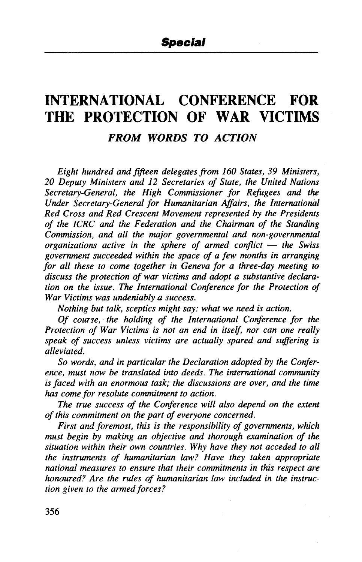# **INTERNATIONAL CONFERENCE FOR THE PROTECTION OF WAR VICTIMS** *FROM WORDS TO ACTION*

*Eight hundred and fifteen delegates from 160 States, 39 Ministers, 20 Deputy Ministers and 12 Secretaries of State, the United Nations Secretary-General, the High Commissioner for Refugees and the Under Secretary-General for Humanitarian Affairs, the International Red Cross and Red Crescent Movement represented by the Presidents of the ICRC and the Federation and the Chairman of the Standing Commission, and all the major governmental and non-governmental organizations active in the sphere of armed conflict* — *the Swiss government succeeded within the space of a few months in arranging for all these to come together in Geneva for a three-day meeting to discuss the protection of war victims and adopt a substantive declaration on the issue. The International Conference for the Protection of War Victims was undeniably a success.*

*Nothing but talk, sceptics might say: what we need is action.*

*Of course, the holding of the International Conference for the Protection of War Victims is not an end in itself, nor can one really speak of success unless victims are actually spared and suffering is alleviated.*

*So words, and in particular the Declaration adopted by the Conference, must now be translated into deeds. The international community is faced with an enormous task; the discussions are over, and the time has come for resolute commitment to action.*

*The true success of the Conference will also depend on the extent of this commitment on the part of everyone concerned.*

*First and foremost, this is the responsibility of governments, which must begin by making an objective and thorough examination of the situation within their own countries. Why have they not acceded to all the instruments of humanitarian law? Have they taken appropriate national measures to ensure that their commitments in this respect are honoured? Are the rules of humanitarian law included in the instruction given to the armed forces?*

356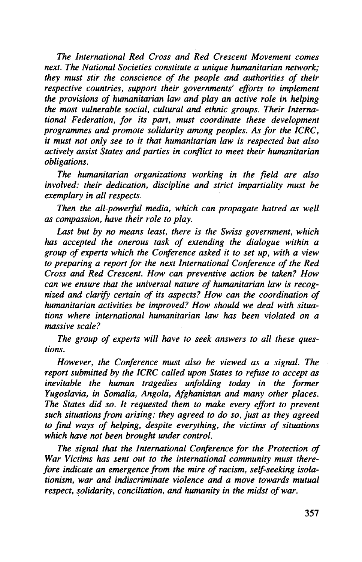*The International Red Cross and Red Crescent Movement comes next. The National Societies constitute a unique humanitarian network; they must stir the conscience of the people and authorities of their respective countries, support their governments' efforts to implement the provisions of humanitarian law and play an active role in helping the most vulnerable social, cultural and ethnic groups. Their International Federation, for its part, must coordinate these development programmes and promote solidarity among peoples. As for the ICRC, it must not only see to it that humanitarian law is respected but also actively assist States and parties in conflict to meet their humanitarian obligations.*

*The humanitarian organizations working in the field are also involved: their dedication, discipline and strict impartiality must be exemplary in all respects.*

*Then the all-powerful media, which can propagate hatred as well as compassion, have their role to play.*

*Last but by no means least, there is the Swiss government, which has accepted the onerous task of extending the dialogue within a group of experts which the Conference asked it to set up, with a view to preparing a report for the next International Conference of the Red Cross and Red Crescent. How can preventive action be taken? How can we ensure that the universal nature of humanitarian law is recognized and clarify certain of its aspects? How can the coordination of humanitarian activities be improved? How should we deal with situations where international humanitarian law has been violated on a massive scale?*

*The group of experts will have to seek answers to all these questions.*

*However, the Conference must also be viewed as a signal. The report submitted by the ICRC called upon States to refuse to accept as inevitable the human tragedies unfolding today in the former Yugoslavia, in Somalia, Angola, Afghanistan and many other places. The States did so. It requested them to make every effort to prevent such situations from arising: they agreed to do so, just as they agreed to find ways of helping, despite everything, the victims of situations which have not been brought under control.*

*The signal that the International Conference for the Protection of War Victims has sent out to the international community must therefore indicate an emergence from the mire of racism, self-seeking isolationism, war and indiscriminate violence and a move towards mutual respect, solidarity, conciliation, and humanity in the midst of war.*